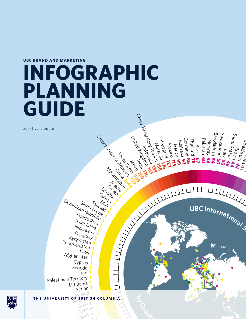**UBC BRAND AND MARKETING**

# n aint<sup>oa:</sup><br>Saudow, <sub>gau</sub>othean<br>Gaudo Region<br>unique Region **INFOGRAPHIC PLANNING GUIDE**

2017 | version 1.0

Lithuania 1<br>Syrian Palestinian Territory **<sup>1</sup>** Iraq **1** Georgia **1** Cyprus **1** Afghanistan **<sup>1</sup>** Laos **<sup>1</sup> Turkmenistan 1**<br>1 Turkmenistan 1<br>1 Turkmenistan 1 S<sub>aint Lucia</sub><br>Nicaragua<br>Paraguay 1<br>Kyrgyzstan 1 P<sub>Uerto Rico</sub><br>Saint Lucia<br>Nicaragua Puerto Rico<br>Saint Lucia **1**<br>Nicaragua **1**<br>Paracua **1** an Republic<sup>tor</sup><br>Puerto Rico<br>Saint Rico<br>Nunt Lucio Dominican Republic<br>
16<sub>90</sub> Republican<br>
Puertepublic<br>
Saisto Ric Sierra Lenegal 1

Sierra Lesot

**Macamatania** 

Ma<sub>tes Script</sub>

**Les Constants Low Les Constants Low Lines** 

United States Suits to 2011

Inized States South Kerea

**Contract** 

China Casa<br>China Casa<br>China Casa

united Kingdom<br>Junited Kingdom<br>United Kingdom

Indonesia<br>Indonesia

Adialais 116

**176**

**127**

**115**

**<sup>b</sup>yCount<sup>r</sup><sup>y</sup> <sup>o</sup><sup>f</sup> <sup>C</sup>itizenshi<sup>p</sup> <sup>2</sup>01<sup>2</sup>**

Fra

nce

**99**

**97**

Australi a

German y

글

**7**bailand 78

**86 6 0**

<u>হ</u>

Brazil<br>Grand<br>Grand

 Pakistan Norwa y

**54 54**

Bangladesh

Switzerla

 $\zeta_{\mu_1,\ldots,\mu_N}$ 

Ara<br>1a bia

**44**

Russia<br>Russia

**44**

Uezsyy<br><sup>Murd Y</sub>yez<sub>ev</sub></sup>

**41 41**

Sahiri<br>Pakhan

Saudi

nd **50**

**50**

 $\left\{\begin{array}{ccc} \text{UEC Int} & \text{Intr}_{\mathcal{O}} & \text{In}_{\partial} \end{array}\right\}$ 

**48**

Mexico

Singapore.<br>Singapore.

India<br>India<br>India

M<sub>ock</sub><br>André<br>Guinea<br>Lesotho<br>Domin. Sier Sen Mai: 1

Information Content Guidean Content Guidean Content Guidean Content Guidean Conte Gibrarece<br>Greece<br>Slovenia THE UNIVERSITY OF BRITISH<br>Gibraltar Gibraltar<br>Slovenia THE UNIVERSITY OF BRITEIS **1**<br>Syrian **1**<br>THE UNIVERSITY OF BRITIS

Greenia<br>Slovenia<br>Maldives

Liechtenstein **<sup>1</sup>** Maldive<sub>2</sub>

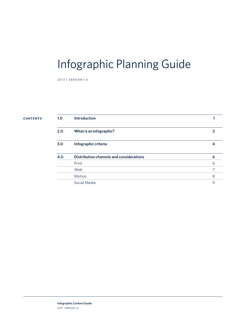### Infographic Planning Guide

2017 | version 1.0

### **contents**

| 1.0 | <b>Introduction</b>                      |   |
|-----|------------------------------------------|---|
| 2.0 | What is an infographic?                  | 2 |
| 3.0 | Infographic criteria                     | 4 |
| 4.0 | Distribution channels and considerations | 6 |
|     | Print                                    | 6 |
|     | Web                                      |   |
|     | Motion                                   | 8 |
|     | Social Media                             | 9 |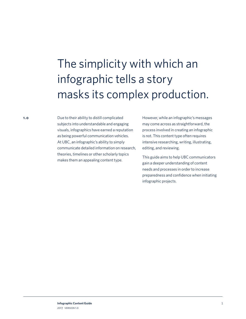# <span id="page-2-0"></span>The simplicity with which an infographic tells a story masks its complex production.

Due to their ability to distill complicated subjects into understandable and engaging visuals, infographics have earned a reputation as being powerful communication vehicles. At UBC, an infographic's ability to simply communicate detailed information on research, theories, timelines or other scholarly topics makes them an appealing content type.

However, while an infographic's messages may come across as straightforward, the process involved in creating an infographic is not. This content type often requires intensive researching, writing, illustrating, editing, and reviewing.

This guide aims to help UBC communicators gain a deeper understanding of content needs and processes in order to increase preparedness and confidence when initiating infographic projects.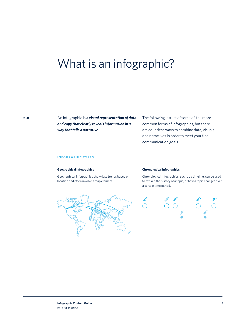### <span id="page-3-0"></span>What is an infographic?

An infographic is *a visual representation of data and copy that clearly reveals information in a way that tells a narrative*.

The following is a list of some of the more common forms of infographics, but there are countless ways to combine data, visuals and narratives in order to meet your final communication goals.

### **infographic types**

### **Geographical Infographics**

Geographical infographics show data trends based on location and often involve a map element.



### **Chronological Infographics**

Chronological infographics, such as a timeline, can be used to explain the history of a topic, or how a topic changes over a certain time period.

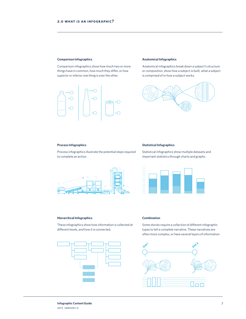### **Comparison Infographics**

Comparison infographics show how much two or more things have in common, how much they differ, or how superior or inferior one thing is over the other.



### **Anatomical Infographics**

Anatomical infographics break down a subject's structure or composition, show how a subject is built, what a subject is comprised of or how a subject works.



### **Process Infographics**

Process infographics illustrate the potential steps required to complete an action.



### **Statistical Infographics**

Statistical infographics show multiple datasets and important statistics through charts and graphs.



### **Hierarchical Infographics**

These infographics show how information is collected at different levels, and how it is connected.



### **Combination**

Some stories require a collection of different infographic types to tell a complete narrative. These narratives are often more complex, or have several layers of information.

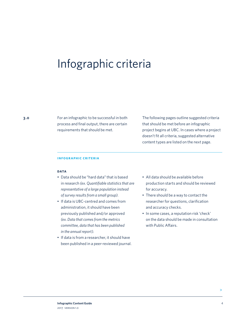### <span id="page-5-0"></span>Infographic criteria

For an infographic to be successful in both process and final output, there are certain requirements that should be met.

The following pages outline suggested criteria that should be met before an infographic project begins at UBC. In cases where a project doesn't fit all criteria, suggested alternative content types are listed on the next page.

### **infographic criteria**

### **data**

- Data should be "hard data" that is based in research *(ex. Quantifiable statistics that are representative of a large population instead of survey results from a small group)*.
- If data is UBC-centred and comes from administration, it should have been previously published and/or approved *(ex. Data that comes from the metrics committee, data that has been published in the annual report)*.
- If data is from a researcher, it should have been published in a peer-reviewed journal.
- All data should be available before production starts and should be reviewed for accuracy.
- There should be a way to contact the researcher for questions, clarification and accuracy checks.
- In some cases, a reputation risk 'check' on the data should be made in consultation with Public Affairs.

**>**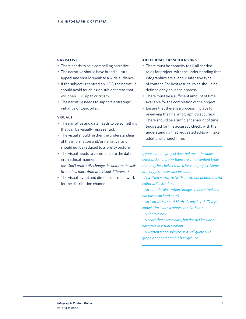### **narrative**

- There needs to be a compelling narrative.
- The narrative should have broad cultural appeal and should speak to a wide audience.
- If the subject is centred on UBC, the narrative should avoid touching on subject areas that will open UBC up to criticism.
- The narrative needs to support a strategic initiative or topic pillar.

### **visuals**

- The narrative and data needs to be something that can be visually represented.
- The visual should further the understanding of the information and/or narrative, and should not be reduced to a 'pretty picture'.
- The visual needs to communicate the data in an ethical manner. *(ex. Don't arbitrarily change the units on the axis* 
	- *to create a more dramatic visual difference).*
- The visual layout and dimensions must work for the distribution channel.

### **additional considerations**

- There must be capacity to fill all needed roles for project, with the understanding that infographics are a labour intensive type of content. For best results, roles should be defined early on in the process.
- There must be a sufficient amount of time available for the completion of the project.
- Ensure that there is a process in place for reviewing the final infographic's accuracy. There should be a sufficient amount of time budgeted for this accuracy check, with the understanding that requested edits will take additional project time.

*If your content project does not meet the above criteria, do not fret—there are other content types that may be a better match for your project. Some other types to consider include:*

*- A written narrative (with or without photos and/or editorial illustrations).*

*- An editorial illustration (image is conceptual and not based on hard data).*

*- An icon with a short blurb of copy (ex. A "Did you know?" fact with a representative icon).*

*- A photo essay.*

*- A chart that shows data, but doesn't include a narrative or visual element.*

*- A written stat displayed as a pull quote on a graphic or photographic background.*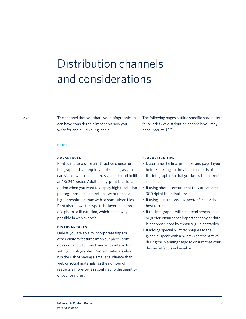# <span id="page-7-0"></span>Distribution channels and considerations

The channel that you share your infographic on can have considerable impact on how you write for and build your graphic.

The following pages outline specific parameters for a variety of distribution channels you may encounter at UBC.

### **print**

### **advantages**

Printed materials are an attractive choice for infographics that require ample space, as you can size down to a postcard size or expand to fill an 18x24" poster. Additionally, print is an ideal option when you want to display high resolution photographs and illustrations, as print has a higher resolution than web or some video files. Print also allows for type to be layered on top of a photo or illustration, which isn't always possible in web or social.

### **disadvantages**

Unless you are able to incorporate flaps or other custom features into your piece, print does not allow for much audience interaction with your infographic. Printed materials also run the risk of having a smaller audience than web or social materials, as the number of readers is more-or-less confined to the quantity of your print run.

### **production tips**

- Determine the final print size and page layout before starting on the visual elements of the infographic so that you know the correct size to build.
- If using photos, ensure that they are at least 300 dpi at their final size.
- If using illustrations, use vector files for the best results.
- If the infographic will be spread across a fold or gutter, ensure that important copy or data is not obstructed by creases, glue or staples.
- If adding special print techniques to the graphic, speak with a printer representative during the planning stage to ensure that your desired effect is achievable.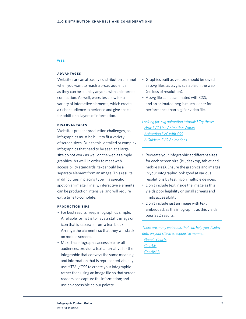### <span id="page-8-0"></span>**web**

### **advantages**

Websites are an attractive distribution channel when you want to reach a broad audience, as they can be seen by anyone with an internet connection. As well, websites allow for a variety of interactive elements, which create a richer audience experience and give space for additional layers of information.

### **disadvantages**

Websites present production challenges, as infographics must be built to fit a variety of screen sizes. Due to this, detailed or complex infographics that need to be seen at a large size do not work as well on the web as simple graphics. As well, in order to meet web accessibility standards, text should be a separate element from an image. This results in difficulties in placing type in a specific spot on an image. Finally, interactive elements can be production intensive, and will require extra time to complete.

### **production tips**

- For best results, keep infographics simple. A reliable format is to have a static image or icon that is separate from a text block. Arrange the elements so that they will stack on mobile screens.
- Make the infographic accessible for all audiences: provide a text alternative for the infographic that conveys the same meaning and information that is represented visually; use HTML/CSS to create your infographic rather than using an image file so that screen readers can capture the information; and use an accessible colour palette.
- Graphics built as vectors should be saved as .svg files, as .svg is scalable on the web (no loss of resolution).
- A .svg file can be animated with CSS, and an animated .svg is much leaner for performance than a .gif or video file.

*Looking for .svg animation tutorials? Try these: - [How SVG Line Animation Works](https://css-tricks.com/svg-line-animation-works/) - [Animating SVG with CSS](https://css-tricks.com/animating-svg-css/) - [A Guide to SVG Animations](https://css-tricks.com/guide-svg-animations-smil/)*

- Recreate your infographic at different sizes for each screen size (ie., desktop, tablet and mobile size). Ensure the graphics and images in your infographic look good at various resolutions by testing on multiple devices.
- Don't include text inside the image as this yields poor legibility on small screens and limits accessibility.
- Don't include just an image with text embedded, as the infographic as this yields poor SEO results.

*There are many web tools that can help you display data on your site in a responsive manner.* 

- *- [Google Charts](https://developers.google.com/chart/ )*
- *- [Chart.js](http://www.chartjs.org/ )*
- *- [Chartist.js](https://gionkunz.github.io/chartist-js/ )*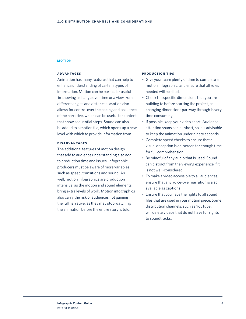#### <span id="page-9-0"></span>**motion**

### **advantages**

Animation has many features that can help to enhance understanding of certain types of information. Motion can be particular useful in showing a change over time or a view from different angles and distances. Motion also allows for control over the pacing and sequence of the narrative, which can be useful for content that show sequential steps. Sound can also be added to a motion file, which opens up a new level with which to provide information from.

### **disadvantages**

The additional features of motion design that add to audience understanding also add to production time and issues. Infographic producers must be aware of more variables, such as speed, transitions and sound. As well, motion infographics are production intensive, as the motion and sound elements bring extra levels of work. Motion infographics also carry the risk of audiences not gaining the full narrative, as they may stop watching the animation before the entire story is told.

### **production tips**

- Give your team plenty of time to complete a motion infographic, and ensure that all roles needed will be filled.
- Check the specific dimensions that you are building to before starting the project, as changing dimensions partway through is very time consuming.
- If possible, keep your video short. Audience attention spans can be short, so it is advisable to keep the animation under ninety seconds.
- Complete speed checks to ensure that a visual or caption is on-screen for enough time for full comprehension.
- Be mindful of any audio that is used. Sound can distract from the viewing experience if it is not well-considered.
- To make a video accessible to all audiences, ensure that any voice-over narration is also available as captions.
- Ensure that you have the rights to all sound files that are used in your motion piece. Some distribution channels, such as YouTube, will delete videos that do not have full rights to soundtracks.